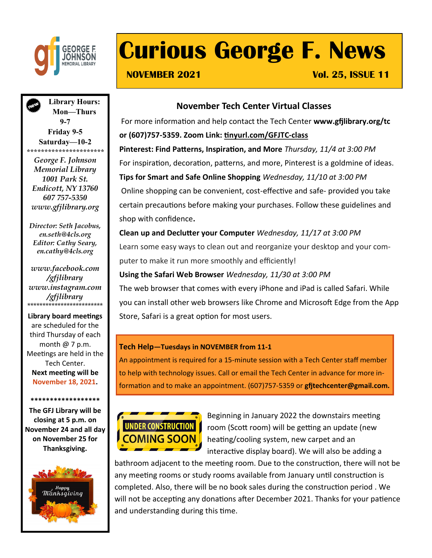

# **Curious George F. News**

**NOVEMBER 2021 Vol. 25, ISSUE 11** 

**Library Hours: Mon—Thurs 9-7 Friday 9-5 Saturday—10-2** *\*\*\*\*\*\*\*\*\*\*\*\*\*\*\*\*\*\*\*\*\*\**

*George F. Johnson Memorial Library 1001 Park St. Endicott, NY 13760 607 757-5350 www.gfjlibrary.org*

*Director: Seth Jacobus, en.seth@4cls.org Editor: Cathy Seary, en.cathy@4cls.org*

*www.facebook.com /gfjlibrary www.instagram.com /gfjlibrary* \*\*\*\*\*\*\*\*\*\*\*\*\*\*\*\*\*\*\*\*\*\*\*\*\*

### **Library board meetings**

are scheduled for the third Thursday of each month @ 7 p.m. Meetings are held in the Tech Center. **Next meeting will be November 18, 2021.**

**\*\*\*\*\*\*\*\*\*\*\*\*\*\*\*\*\*\***

**The GFJ Library will be closing at 5 p.m. on November 24 and all day on November 25 for Thanksgiving.**



### **November Tech Center Virtual Classes**

For more information and help contact the Tech Center **www.gfjlibrary.org/tc or (607)757-5359. Zoom Link: [tinyurl.com/GFJTC](http://tinyurl.com/GFJTC-class)-class Pinterest: Find Patterns, Inspiration, and More** *Thursday, 11/4 at 3:00 PM* For inspiration, decoration, patterns, and more, Pinterest is a goldmine of ideas. **Tips for Smart and Safe Online Shopping** *Wednesday, 11/10 at 3:00 PM* Online shopping can be convenient, cost-effective and safe- provided you take certain precautions before making your purchases. Follow these guidelines and shop with confidence**.**

**Clean up and Declutter your Computer** *Wednesday, 11/17 at 3:00 PM* Learn some easy ways to clean out and reorganize your desktop and your computer to make it run more smoothly and efficiently!

### **Using the Safari Web Browser** *Wednesday, 11/30 at 3:00 PM*

The web browser that comes with every iPhone and iPad is called Safari. While you can install other web browsers like Chrome and Microsoft Edge from the App Store, Safari is a great option for most users.

### **Tech Help—Tuesdays in NOVEMBER from 11-1**

An appointment is required for a 15-minute session with a Tech Center staff member to help with technology issues. Call or email the Tech Center in advance for more information and to make an appointment. (607)757-5359 or **gfjtechcenter@gmail.com.**



Beginning in January 2022 the downstairs meeting room (Scott room) will be getting an update (new heating/cooling system, new carpet and an interactive display board). We will also be adding a

bathroom adjacent to the meeting room. Due to the construction, there will not be any meeting rooms or study rooms available from January until construction is completed. Also, there will be no book sales during the construction period . We will not be accepting any donations after December 2021. Thanks for your patience and understanding during this time.